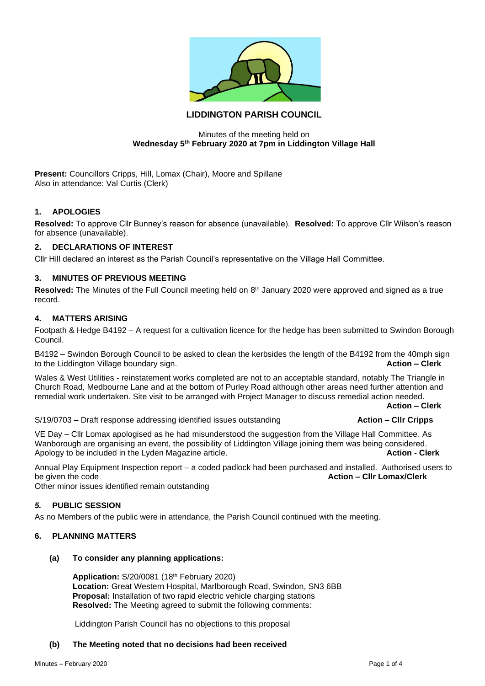

# **LIDDINGTON PARISH COUNCIL**

#### Minutes of the meeting held on **Wednesday 5th February 2020 at 7pm in Liddington Village Hall**

**Present:** Councillors Cripps, Hill, Lomax (Chair), Moore and Spillane Also in attendance: Val Curtis (Clerk)

# **1. APOLOGIES**

**Resolved:** To approve Cllr Bunney's reason for absence (unavailable). **Resolved:** To approve Cllr Wilson's reason for absence (unavailable).

## **2. DECLARATIONS OF INTEREST**

Cllr Hill declared an interest as the Parish Council's representative on the Village Hall Committee.

## **3. MINUTES OF PREVIOUS MEETING**

Resolved: The Minutes of the Full Council meeting held on 8<sup>th</sup> January 2020 were approved and signed as a true record.

## **4. MATTERS ARISING**

Footpath & Hedge B4192 – A request for a cultivation licence for the hedge has been submitted to Swindon Borough Council.

B4192 – Swindon Borough Council to be asked to clean the kerbsides the length of the B4192 from the 40mph sign to the Liddington Village boundary sign. **Action – Clerk**

Wales & West Utilities - reinstatement works completed are not to an acceptable standard, notably The Triangle in Church Road, Medbourne Lane and at the bottom of Purley Road although other areas need further attention and remedial work undertaken. Site visit to be arranged with Project Manager to discuss remedial action needed.

**Action – Clerk**

S/19/0703 – Draft response addressing identified issues outstanding **Action – Cllr Cripps**

VE Day – Cllr Lomax apologised as he had misunderstood the suggestion from the Village Hall Committee. As Wanborough are organising an event, the possibility of Liddington Village joining them was being considered. Apology to be included in the Lyden Magazine article. **Action - Clerk**

Annual Play Equipment Inspection report – a coded padlock had been purchased and installed. Authorised users to be given the code **Action – Cllr Lomax/Clerk**

Other minor issues identified remain outstanding

#### *5.* **PUBLIC SESSION**

As no Members of the public were in attendance, the Parish Council continued with the meeting.

#### **6. PLANNING MATTERS**

#### **(a) To consider any planning applications:**

**Application:** S/20/0081 (18th February 2020) **Location:** Great Western Hospital, Marlborough Road, Swindon, SN3 6BB **Proposal:** Installation of two rapid electric vehicle charging stations **Resolved:** The Meeting agreed to submit the following comments:

Liddington Parish Council has no objections to this proposal

#### **(b) The Meeting noted that no decisions had been received**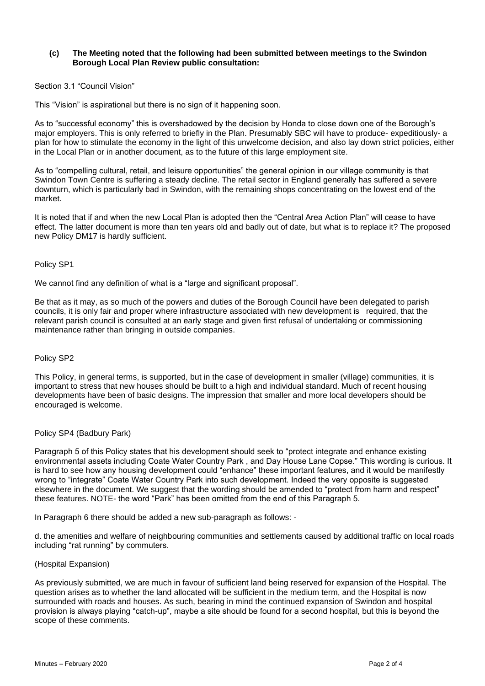#### **(c) The Meeting noted that the following had been submitted between meetings to the Swindon Borough Local Plan Review public consultation:**

### Section 3.1 "Council Vision"

This "Vision" is aspirational but there is no sign of it happening soon.

As to "successful economy" this is overshadowed by the decision by Honda to close down one of the Borough's major employers. This is only referred to briefly in the Plan. Presumably SBC will have to produce- expeditiously- a plan for how to stimulate the economy in the light of this unwelcome decision, and also lay down strict policies, either in the Local Plan or in another document, as to the future of this large employment site.

As to "compelling cultural, retail, and leisure opportunities" the general opinion in our village community is that Swindon Town Centre is suffering a steady decline. The retail sector in England generally has suffered a severe downturn, which is particularly bad in Swindon, with the remaining shops concentrating on the lowest end of the market.

It is noted that if and when the new Local Plan is adopted then the "Central Area Action Plan" will cease to have effect. The latter document is more than ten years old and badly out of date, but what is to replace it? The proposed new Policy DM17 is hardly sufficient.

#### Policy SP1

We cannot find any definition of what is a "large and significant proposal".

Be that as it may, as so much of the powers and duties of the Borough Council have been delegated to parish councils, it is only fair and proper where infrastructure associated with new development is required, that the relevant parish council is consulted at an early stage and given first refusal of undertaking or commissioning maintenance rather than bringing in outside companies.

#### Policy SP2

This Policy, in general terms, is supported, but in the case of development in smaller (village) communities, it is important to stress that new houses should be built to a high and individual standard. Much of recent housing developments have been of basic designs. The impression that smaller and more local developers should be encouraged is welcome.

#### Policy SP4 (Badbury Park)

Paragraph 5 of this Policy states that his development should seek to "protect integrate and enhance existing environmental assets including Coate Water Country Park , and Day House Lane Copse." This wording is curious. It is hard to see how any housing development could "enhance" these important features, and it would be manifestly wrong to "integrate" Coate Water Country Park into such development. Indeed the very opposite is suggested elsewhere in the document. We suggest that the wording should be amended to "protect from harm and respect" these features. NOTE- the word "Park" has been omitted from the end of this Paragraph 5.

In Paragraph 6 there should be added a new sub-paragraph as follows: -

d. the amenities and welfare of neighbouring communities and settlements caused by additional traffic on local roads including "rat running" by commuters.

#### (Hospital Expansion)

As previously submitted, we are much in favour of sufficient land being reserved for expansion of the Hospital. The question arises as to whether the land allocated will be sufficient in the medium term, and the Hospital is now surrounded with roads and houses. As such, bearing in mind the continued expansion of Swindon and hospital provision is always playing "catch-up", maybe a site should be found for a second hospital, but this is beyond the scope of these comments.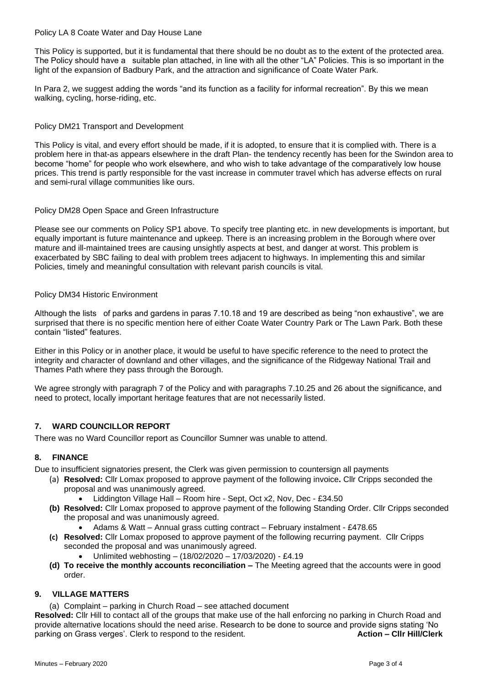### Policy LA 8 Coate Water and Day House Lane

This Policy is supported, but it is fundamental that there should be no doubt as to the extent of the protected area. The Policy should have a suitable plan attached, in line with all the other "LA" Policies. This is so important in the light of the expansion of Badbury Park, and the attraction and significance of Coate Water Park.

In Para 2, we suggest adding the words "and its function as a facility for informal recreation". By this we mean walking, cycling, horse-riding, etc.

## Policy DM21 Transport and Development

This Policy is vital, and every effort should be made, if it is adopted, to ensure that it is complied with. There is a problem here in that-as appears elsewhere in the draft Plan- the tendency recently has been for the Swindon area to become "home" for people who work elsewhere, and who wish to take advantage of the comparatively low house prices. This trend is partly responsible for the vast increase in commuter travel which has adverse effects on rural and semi-rural village communities like ours.

#### Policy DM28 Open Space and Green Infrastructure

Please see our comments on Policy SP1 above. To specify tree planting etc. in new developments is important, but equally important is future maintenance and upkeep. There is an increasing problem in the Borough where over mature and ill-maintained trees are causing unsightly aspects at best, and danger at worst. This problem is exacerbated by SBC failing to deal with problem trees adjacent to highways. In implementing this and similar Policies, timely and meaningful consultation with relevant parish councils is vital.

#### Policy DM34 Historic Environment

Although the lists of parks and gardens in paras 7.10.18 and 19 are described as being "non exhaustive", we are surprised that there is no specific mention here of either Coate Water Country Park or The Lawn Park. Both these contain "listed" features.

Either in this Policy or in another place, it would be useful to have specific reference to the need to protect the integrity and character of downland and other villages, and the significance of the Ridgeway National Trail and Thames Path where they pass through the Borough.

We agree strongly with paragraph 7 of the Policy and with paragraphs 7.10.25 and 26 about the significance, and need to protect, locally important heritage features that are not necessarily listed.

# **7. WARD COUNCILLOR REPORT**

There was no Ward Councillor report as Councillor Sumner was unable to attend.

#### **8. FINANCE**

Due to insufficient signatories present, the Clerk was given permission to countersign all payments

- (a) **Resolved:** Cllr Lomax proposed to approve payment of the following invoice**.** Cllr Cripps seconded the proposal and was unanimously agreed.
	- Liddington Village Hall Room hire Sept, Oct x2, Nov, Dec £34.50
- **(b) Resolved:** Cllr Lomax proposed to approve payment of the following Standing Order. Cllr Cripps seconded the proposal and was unanimously agreed.
	- Adams & Watt Annual grass cutting contract February instalment £478.65
- **(c) Resolved:** Cllr Lomax proposed to approve payment of the following recurring payment. Cllr Cripps seconded the proposal and was unanimously agreed.
	- Unlimited webhosting (18/02/2020 17/03/2020) £4.19
- **(d) To receive the monthly accounts reconciliation –** The Meeting agreed that the accounts were in good order.

# **9. VILLAGE MATTERS**

(a) Complaint – parking in Church Road – see attached document

**Resolved:** Cllr Hill to contact all of the groups that make use of the hall enforcing no parking in Church Road and provide alternative locations should the need arise. Research to be done to source and provide signs stating 'No parking on Grass verges'. Clerk to respond to the resident. **Action – Cllr Hill/Clerk**